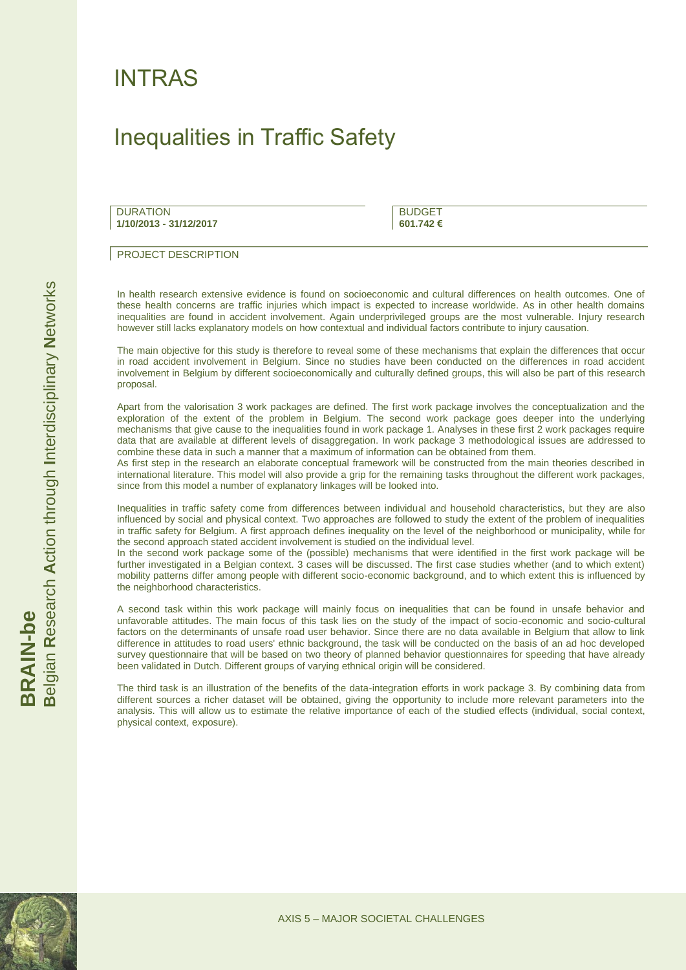## INTRAS

## Inequalities in Traffic Safety

**DURATION 1/10/2013 - 31/12/2017** **BUDGET 601.742 €**

PROJECT DESCRIPTION

In health research extensive evidence is found on socioeconomic and cultural differences on health outcomes. One of these health concerns are traffic injuries which impact is expected to increase worldwide. As in other health domains inequalities are found in accident involvement. Again underprivileged groups are the most vulnerable. Injury research however still lacks explanatory models on how contextual and individual factors contribute to injury causation.

The main objective for this study is therefore to reveal some of these mechanisms that explain the differences that occur in road accident involvement in Belgium. Since no studies have been conducted on the differences in road accident involvement in Belgium by different socioeconomically and culturally defined groups, this will also be part of this research proposal.

Apart from the valorisation 3 work packages are defined. The first work package involves the conceptualization and the exploration of the extent of the problem in Belgium. The second work package goes deeper into the underlying mechanisms that give cause to the inequalities found in work package 1. Analyses in these first 2 work packages require data that are available at different levels of disaggregation. In work package 3 methodological issues are addressed to combine these data in such a manner that a maximum of information can be obtained from them.

As first step in the research an elaborate conceptual framework will be constructed from the main theories described in international literature. This model will also provide a grip for the remaining tasks throughout the different work packages, since from this model a number of explanatory linkages will be looked into.

Inequalities in traffic safety come from differences between individual and household characteristics, but they are also influenced by social and physical context. Two approaches are followed to study the extent of the problem of inequalities in traffic safety for Belgium. A first approach defines inequality on the level of the neighborhood or municipality, while for the second approach stated accident involvement is studied on the individual level.

In the second work package some of the (possible) mechanisms that were identified in the first work package will be further investigated in a Belgian context. 3 cases will be discussed. The first case studies whether (and to which extent) mobility patterns differ among people with different socio-economic background, and to which extent this is influenced by the neighborhood characteristics.

A second task within this work package will mainly focus on inequalities that can be found in unsafe behavior and unfavorable attitudes. The main focus of this task lies on the study of the impact of socio-economic and socio-cultural factors on the determinants of unsafe road user behavior. Since there are no data available in Belgium that allow to link difference in attitudes to road users' ethnic background, the task will be conducted on the basis of an ad hoc developed survey questionnaire that will be based on two theory of planned behavior questionnaires for speeding that have already been validated in Dutch. Different groups of varying ethnical origin will be considered.

The third task is an illustration of the benefits of the data-integration efforts in work package 3. By combining data from different sources a richer dataset will be obtained, giving the opportunity to include more relevant parameters into the analysis. This will allow us to estimate the relative importance of each of the studied effects (individual, social context, physical context, exposure).